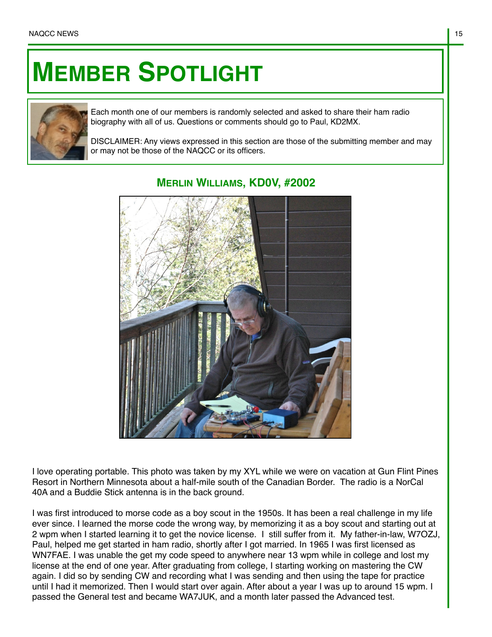## **MEMBER SPOTLIGHT**



Each month one of our members is randomly selected and asked to share their ham radio biography with all of us. Questions or comments should go to Paul, KD2MX.

DISCLAIMER: Any views expressed in this section are those of the submitting member and may or may not be those of the NAQCC or its officers.



## **MERLIN WILLIAMS, KD0V, #2002**

I love operating portable. This photo was taken by my XYL while we were on vacation at Gun Flint Pines Resort in Northern Minnesota about a half-mile south of the Canadian Border. The radio is a NorCal 40A and a Buddie Stick antenna is in the back ground.

I was first introduced to morse code as a boy scout in the 1950s. It has been a real challenge in my life ever since. I learned the morse code the wrong way, by memorizing it as a boy scout and starting out at 2 wpm when I started learning it to get the novice license. I still suffer from it. My father-in-law, W7OZJ, Paul, helped me get started in ham radio, shortly after I got married. In 1965 I was first licensed as WN7FAE. I was unable the get my code speed to anywhere near 13 wpm while in college and lost my license at the end of one year. After graduating from college, I starting working on mastering the CW again. I did so by sending CW and recording what I was sending and then using the tape for practice until I had it memorized. Then I would start over again. After about a year I was up to around 15 wpm. I passed the General test and became WA7JUK, and a month later passed the Advanced test.